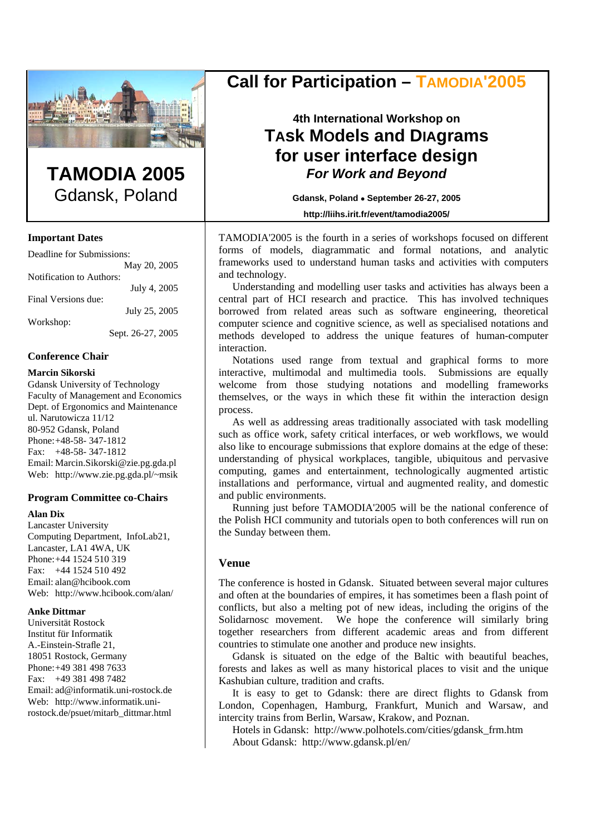

# **TAMODIA 2005**  Gdansk, Poland

## **Important Dates**

| Deadline for Submissions: |
|---------------------------|
| May 20, 2005              |
| Notification to Authors:  |
| July 4, 2005              |
|                           |
| July 25, 2005             |
|                           |
| Sept. 26-27, 2005         |
|                           |

## **Conference Chair**

### **Marcin Sikorski**

Gdansk University of Technology Faculty of Management and Economics Dept. of Ergonomics and Maintenance ul. Narutowicza 11/12 80-952 Gdansk, Poland Phone: +48-58- 347-1812 Fax: +48-58- 347-1812 Email: Marcin.Sikorski@zie.pg.gda.pl Web: http://www.zie.pg.gda.pl/~msik

### **Program Committee co-Chairs**

### **Alan Dix**

Lancaster University Computing Department, InfoLab21, Lancaster, LA1 4WA, UK Phone: +44 1524 510 319 Fax: +44 1524 510 492 Email: alan@hcibook.com Web: http://www.hcibook.com/alan/

### **Anke Dittmar**

Universität Rostock Institut für Informatik A.-Einstein-Strafle 21, 18051 Rostock, Germany Phone: +49 381 498 7633 Fax: +49 381 498 7482 Email: ad@informatik.uni-rostock.de Web: http://www.informatik.unirostock.de/psuet/mitarb\_dittmar.html

# **Call for Participation – TAMODIA'2005**

# **4th International Workshop on TAsk MOdels and DIAgrams for user interface design**  *For Work and Beyond*

**Gdansk, Poland** • **September 26-27, 2005** 

**http://liihs.irit.fr/event/tamodia2005/**

TAMODIA'2005 is the fourth in a series of workshops focused on different forms of models, diagrammatic and formal notations, and analytic frameworks used to understand human tasks and activities with computers and technology.

Understanding and modelling user tasks and activities has always been a central part of HCI research and practice. This has involved techniques borrowed from related areas such as software engineering, theoretical computer science and cognitive science, as well as specialised notations and methods developed to address the unique features of human-computer interaction.

Notations used range from textual and graphical forms to more interactive, multimodal and multimedia tools. Submissions are equally welcome from those studying notations and modelling frameworks themselves, or the ways in which these fit within the interaction design process.

As well as addressing areas traditionally associated with task modelling such as office work, safety critical interfaces, or web workflows, we would also like to encourage submissions that explore domains at the edge of these: understanding of physical workplaces, tangible, ubiquitous and pervasive computing, games and entertainment, technologically augmented artistic installations and performance, virtual and augmented reality, and domestic and public environments.

Running just before TAMODIA'2005 will be the national conference of the Polish HCI community and tutorials open to both conferences will run on the Sunday between them.

# **Venue**

The conference is hosted in Gdansk. Situated between several major cultures and often at the boundaries of empires, it has sometimes been a flash point of conflicts, but also a melting pot of new ideas, including the origins of the Solidarnosc movement. We hope the conference will similarly bring together researchers from different academic areas and from different countries to stimulate one another and produce new insights.

Gdansk is situated on the edge of the Baltic with beautiful beaches, forests and lakes as well as many historical places to visit and the unique Kashubian culture, tradition and crafts.

It is easy to get to Gdansk: there are direct flights to Gdansk from London, Copenhagen, Hamburg, Frankfurt, Munich and Warsaw, and intercity trains from Berlin, Warsaw, Krakow, and Poznan.

Hotels in Gdansk: http://www.polhotels.com/cities/gdansk\_frm.htm About Gdansk: http://www.gdansk.pl/en/